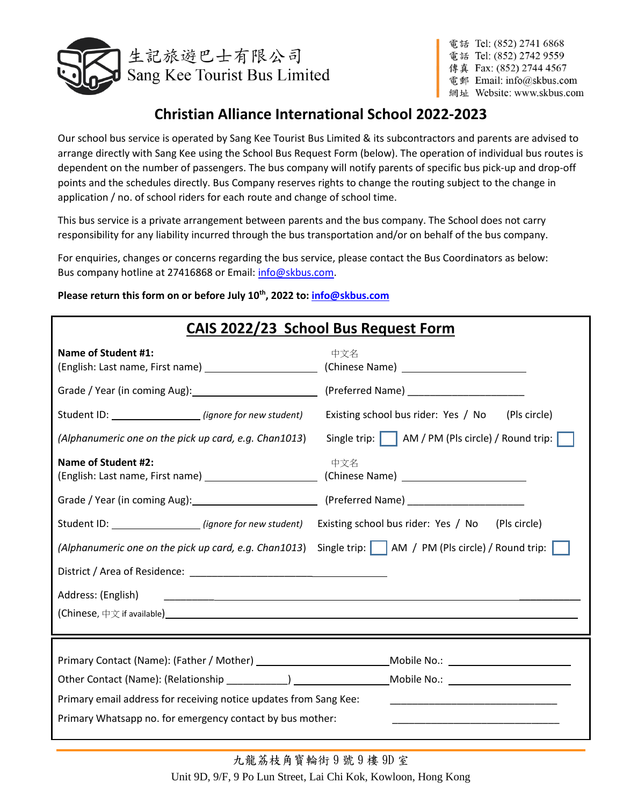

# **Christian Alliance International School 2022-2023**

Our school bus service is operated by Sang Kee Tourist Bus Limited & its subcontractors and parents are advised to arrange directly with Sang Kee using the School Bus Request Form (below). The operation of individual bus routes is dependent on the number of passengers. The bus company will notify parents of specific bus pick-up and drop-off points and the schedules directly. Bus Company reserves rights to change the routing subject to the change in application / no. of school riders for each route and change of school time.

This bus service is a private arrangement between parents and the bus company. The School does not carry responsibility for any liability incurred through the bus transportation and/or on behalf of the bus company.

For enquiries, changes or concerns regarding the bus service, please contact the Bus Coordinators as below: Bus company hotline at 27416868 or Email[: info@skbus.com.](mailto:info@skbus.com)

| Please return this form on or before July 10 <sup>th</sup> , 2022 to: info@skbus.com |  |
|--------------------------------------------------------------------------------------|--|
|                                                                                      |  |

|                                                                                                                                             | CAIS 2022/23 School Bus Request Form                                                                                                                                                                                           |  |  |  |
|---------------------------------------------------------------------------------------------------------------------------------------------|--------------------------------------------------------------------------------------------------------------------------------------------------------------------------------------------------------------------------------|--|--|--|
| <b>Name of Student #1:</b><br>(English: Last name, First name) _________________________                                                    | 中文名                                                                                                                                                                                                                            |  |  |  |
|                                                                                                                                             |                                                                                                                                                                                                                                |  |  |  |
| Student ID: _____________________(ignore for new student)                                                                                   | Existing school bus rider: Yes / No<br>(Pls circle)                                                                                                                                                                            |  |  |  |
| (Alphanumeric one on the pick up card, e.g. Chan1013)                                                                                       | Single trip:     AM / PM (Pls circle) / Round trip:                                                                                                                                                                            |  |  |  |
| <b>Name of Student #2:</b>                                                                                                                  | 中文名                                                                                                                                                                                                                            |  |  |  |
|                                                                                                                                             |                                                                                                                                                                                                                                |  |  |  |
| Student ID: ______________________ (ignore for new student)                                                                                 | Existing school bus rider: Yes / No<br>(Pls circle)                                                                                                                                                                            |  |  |  |
| (Alphanumeric one on the pick up card, e.g. Chan1013)                                                                                       | Single trip:     AM / PM (Pls circle) / Round trip:                                                                                                                                                                            |  |  |  |
|                                                                                                                                             |                                                                                                                                                                                                                                |  |  |  |
| Address: (English)<br><u> 1989 - Jan Samuel Barbara, martin da shekara tsara 1989 - Andrea Samuel Barbara, marka a shekara 1980 - Andre</u> |                                                                                                                                                                                                                                |  |  |  |
|                                                                                                                                             |                                                                                                                                                                                                                                |  |  |  |
|                                                                                                                                             |                                                                                                                                                                                                                                |  |  |  |
|                                                                                                                                             | Mobile No.: The contract of the contract of the contract of the contract of the contract of the contract of the contract of the contract of the contract of the contract of the contract of the contract of the contract of th |  |  |  |
|                                                                                                                                             |                                                                                                                                                                                                                                |  |  |  |
| Primary email address for receiving notice updates from Sang Kee:                                                                           |                                                                                                                                                                                                                                |  |  |  |
| Primary Whatsapp no. for emergency contact by bus mother:                                                                                   |                                                                                                                                                                                                                                |  |  |  |
|                                                                                                                                             |                                                                                                                                                                                                                                |  |  |  |

九龍荔枝角寳輪街 9 號 9 樓 9D 室 Unit 9D, 9/F, 9 Po Lun Street, Lai Chi Kok, Kowloon, Hong Kong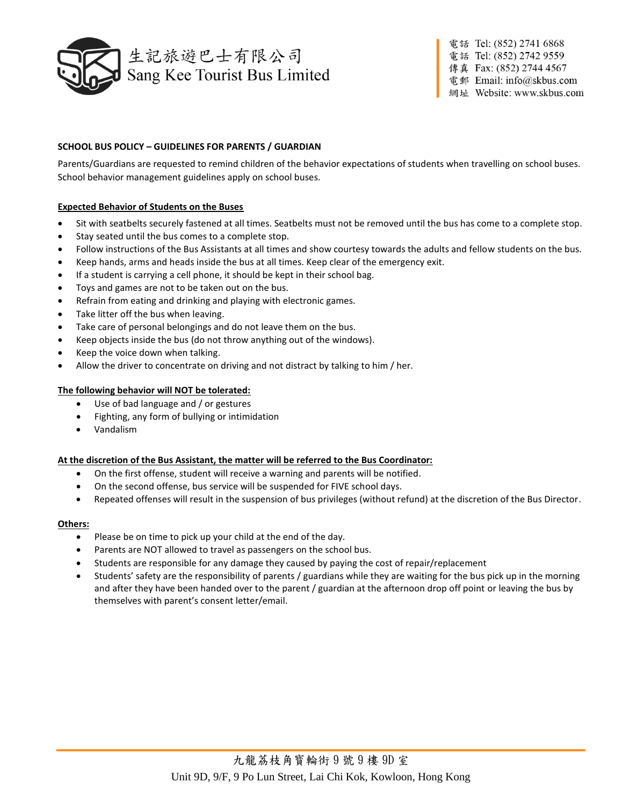

# **SCHOOL BUS POLICY – GUIDELINES FOR PARENTS / GUARDIAN**

Parents/Guardians are requested to remind children of the behavior expectations of students when travelling on school buses. School behavior management guidelines apply on school buses.

# **Expected Behavior of Students on the Buses**

- Sit with seatbelts securely fastened at all times. Seatbelts must not be removed until the bus has come to a complete stop.
- Stay seated until the bus comes to a complete stop.
- Follow instructions of the Bus Assistants at all times and show courtesy towards the adults and fellow students on the bus.
- Keep hands, arms and heads inside the bus at all times. Keep clear of the emergency exit.
- If a student is carrying a cell phone, it should be kept in their school bag.
- Toys and games are not to be taken out on the bus.
- Refrain from eating and drinking and playing with electronic games.
- Take litter off the bus when leaving.
- Take care of personal belongings and do not leave them on the bus.
- Keep objects inside the bus (do not throw anything out of the windows).
- Keep the voice down when talking.
- Allow the driver to concentrate on driving and not distract by talking to him / her.

### **The following behavior will NOT be tolerated:**

- Use of bad language and / or gestures
- Fighting, any form of bullying or intimidation
- Vandalism

### **At the discretion of the Bus Assistant, the matter will be referred to the Bus Coordinator:**

- On the first offense, student will receive a warning and parents will be notified.
- On the second offense, bus service will be suspended for FIVE school days.
- Repeated offenses will result in the suspension of bus privileges (without refund) at the discretion of the Bus Director.

### **Others:**

- Please be on time to pick up your child at the end of the day.
- Parents are NOT allowed to travel as passengers on the school bus.
- Students are responsible for any damage they caused by paying the cost of repair/replacement
- Students' safety are the responsibility of parents / guardians while they are waiting for the bus pick up in the morning and after they have been handed over to the parent / guardian at the afternoon drop off point or leaving the bus by themselves with parent's consent letter/email.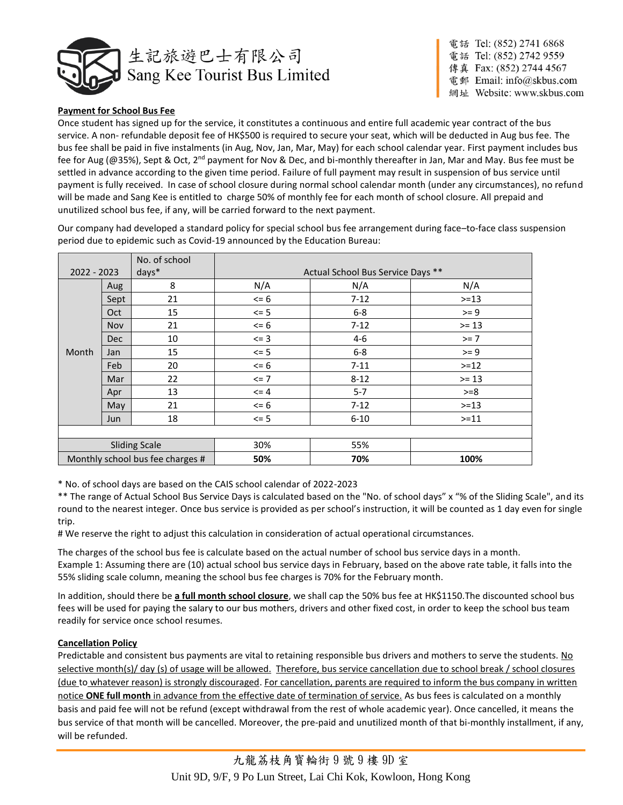

# **Payment for School Bus Fee**

Once student has signed up for the service, it constitutes a continuous and entire full academic year contract of the bus service. A non- refundable deposit fee of HK\$500 is required to secure your seat, which will be deducted in Aug bus fee. The bus fee shall be paid in five instalments (in Aug, Nov, Jan, Mar, May) for each school calendar year. First payment includes bus fee for Aug (@35%), Sept & Oct, 2<sup>nd</sup> payment for Nov & Dec, and bi-monthly thereafter in Jan, Mar and May. Bus fee must be settled in advance according to the given time period. Failure of full payment may result in suspension of bus service until payment is fully received. In case of school closure during normal school calendar month (under any circumstances), no refund will be made and Sang Kee is entitled to charge 50% of monthly fee for each month of school closure. All prepaid and unutilized school bus fee, if any, will be carried forward to the next payment.

Our company had developed a standard policy for special school bus fee arrangement during face–to-face class suspension period due to epidemic such as Covid-19 announced by the Education Bureau:

|                                  |            | No. of school                     |          |          |         |
|----------------------------------|------------|-----------------------------------|----------|----------|---------|
| days*<br>$2022 - 2023$           |            | Actual School Bus Service Days ** |          |          |         |
|                                  | Aug        | 8                                 | N/A      | N/A      | N/A     |
|                                  | Sept       | 21                                | $\leq$ 6 | $7 - 12$ | $>=13$  |
|                                  | Oct        | 15                                | $\leq$ 5 | $6-8$    | $>= 9$  |
|                                  | <b>Nov</b> | 21                                | $\leq$ 6 | $7-12$   | $>= 13$ |
|                                  | Dec        | 10                                | $\leq$ 3 | $4 - 6$  | $>= 7$  |
| Month                            | Jan        | 15                                | $\leq$ 5 | $6-8$    | $>= 9$  |
|                                  | Feb        | 20                                | $\leq$ 6 | $7 - 11$ | $>=12$  |
|                                  | Mar        | 22                                | $\leq$ 7 | $8 - 12$ | $>= 13$ |
|                                  | Apr        | 13                                | $\leq$ 4 | $5 - 7$  | $>= 8$  |
|                                  | May        | 21                                | $\leq$ 6 | $7-12$   | $>=13$  |
|                                  | Jun        | 18                                | $\leq$ 5 | $6 - 10$ | $>=11$  |
|                                  |            |                                   |          |          |         |
| <b>Sliding Scale</b>             |            | 30%                               | 55%      |          |         |
| Monthly school bus fee charges # |            | 50%                               | 70%      | 100%     |         |

\* No. of school days are based on the CAIS school calendar of 2022-2023

\*\* The range of Actual School Bus Service Days is calculated based on the "No. of school days" x "% of the Sliding Scale", and its round to the nearest integer. Once bus service is provided as per school's instruction, it will be counted as 1 day even for single trip.

# We reserve the right to adjust this calculation in consideration of actual operational circumstances.

The charges of the school bus fee is calculate based on the actual number of school bus service days in a month. Example 1: Assuming there are (10) actual school bus service days in February, based on the above rate table, it falls into the 55% sliding scale column, meaning the school bus fee charges is 70% for the February month.

In addition, should there be **a full month school closure**, we shall cap the 50% bus fee at HK\$1150.The discounted school bus fees will be used for paying the salary to our bus mothers, drivers and other fixed cost, in order to keep the school bus team readily for service once school resumes.

# **Cancellation Policy**

Predictable and consistent bus payments are vital to retaining responsible bus drivers and mothers to serve the students. No selective month(s)/ day (s) of usage will be allowed. Therefore, bus service cancellation due to school break / school closures (due to whatever reason) is strongly discouraged. For cancellation, parents are required to inform the bus company in written notice **ONE full month** in advance from the effective date of termination of service. As bus fees is calculated on a monthly basis and paid fee will not be refund (except withdrawal from the rest of whole academic year). Once cancelled, it means the bus service of that month will be cancelled. Moreover, the pre-paid and unutilized month of that bi-monthly installment, if any, will be refunded.